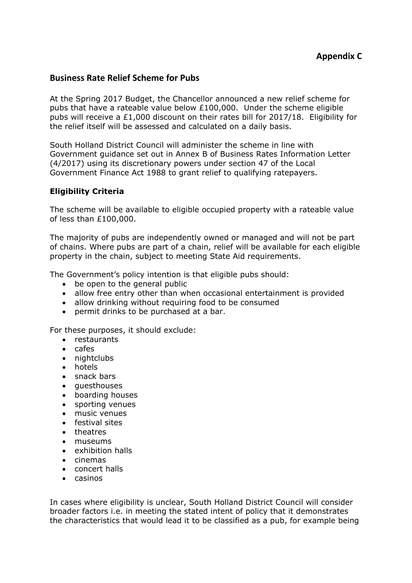## **Business Rate Relief Scheme for Pubs**

At the Spring 2017 Budget, the Chancellor announced a new relief scheme for pubs that have a rateable value below £100,000. Under the scheme eligible pubs will receive a £1,000 discount on their rates bill for 2017/18. Eligibility for the relief itself will be assessed and calculated on a daily basis.

South Holland District Council will administer the scheme in line with Government guidance set out in Annex B of Business Rates Information Letter (4/2017) using its discretionary powers under section 47 of the Local Government Finance Act 1988 to grant relief to qualifying ratepayers.

# **Eligibility Criteria**

The scheme will be available to eligible occupied property with a rateable value of less than £100,000.

The majority of pubs are independently owned or managed and will not be part of chains. Where pubs are part of a chain, relief will be available for each eligible property in the chain, subject to meeting State Aid requirements.

The Government's policy intention is that eligible pubs should:

- be open to the general public
- allow free entry other than when occasional entertainment is provided
- allow drinking without requiring food to be consumed
- permit drinks to be purchased at a bar.

For these purposes, it should exclude:

- restaurants
- $\bullet$  cafes
- nightclubs
- hotels
- snack bars
- questhouses
- boarding houses
- sporting venues
- music venues
- **•** festival sites
- theatres
- museums
- exhibition halls
- $\bullet$  cinemas
- concert halls
- casinos

In cases where eligibility is unclear, South Holland District Council will consider broader factors i.e. in meeting the stated intent of policy that it demonstrates the characteristics that would lead it to be classified as a pub, for example being